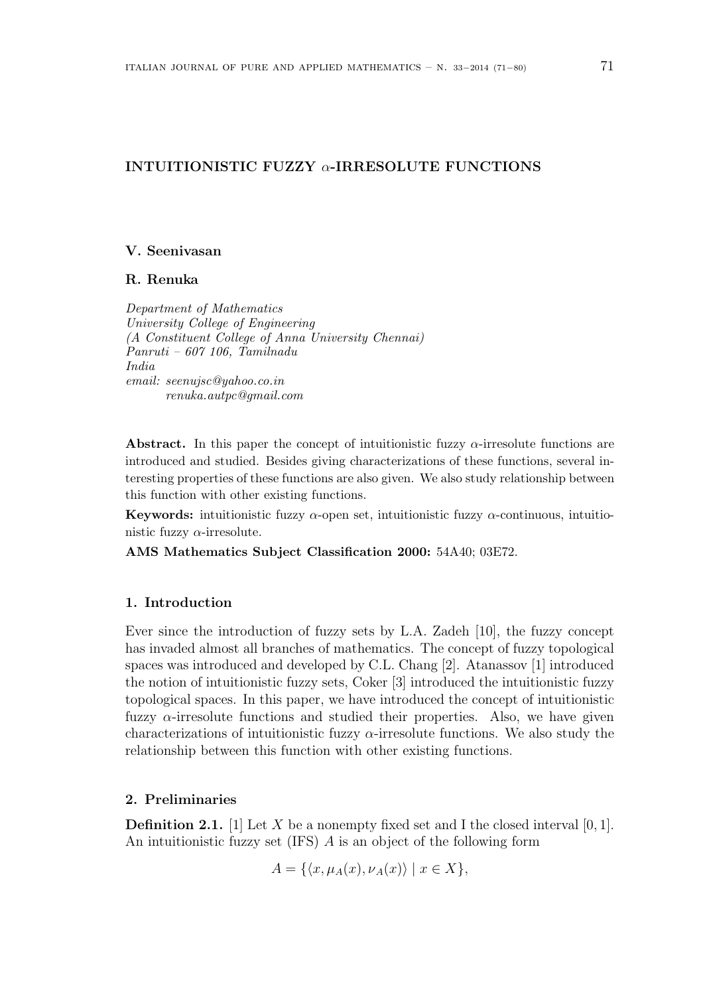# INTUITIONISTIC FUZZY  $\alpha$ -IRRESOLUTE FUNCTIONS

## V. Seenivasan

## R. Renuka

Department of Mathematics University College of Engineering (A Constituent College of Anna University Chennai) Panruti – 607 106, Tamilnadu India email: seenujsc@yahoo.co.in renuka.autpc@gmail.com

Abstract. In this paper the concept of intuitionistic fuzzy  $\alpha$ -irresolute functions are introduced and studied. Besides giving characterizations of these functions, several interesting properties of these functions are also given. We also study relationship between this function with other existing functions.

Keywords: intuitionistic fuzzy  $\alpha$ -open set, intuitionistic fuzzy  $\alpha$ -continuous, intuitionistic fuzzy  $\alpha$ -irresolute.

AMS Mathematics Subject Classification 2000: 54A40; 03E72.

## 1. Introduction

Ever since the introduction of fuzzy sets by L.A. Zadeh [10], the fuzzy concept has invaded almost all branches of mathematics. The concept of fuzzy topological spaces was introduced and developed by C.L. Chang [2]. Atanassov [1] introduced the notion of intuitionistic fuzzy sets, Coker [3] introduced the intuitionistic fuzzy topological spaces. In this paper, we have introduced the concept of intuitionistic fuzzy  $\alpha$ -irresolute functions and studied their properties. Also, we have given characterizations of intuitionistic fuzzy  $\alpha$ -irresolute functions. We also study the relationship between this function with other existing functions.

## 2. Preliminaries

**Definition 2.1.** [1] Let X be a nonempty fixed set and I the closed interval [0, 1]. An intuitionistic fuzzy set (IFS) A is an object of the following form

$$
A = \{ \langle x, \mu_A(x), \nu_A(x) \rangle \mid x \in X \},\
$$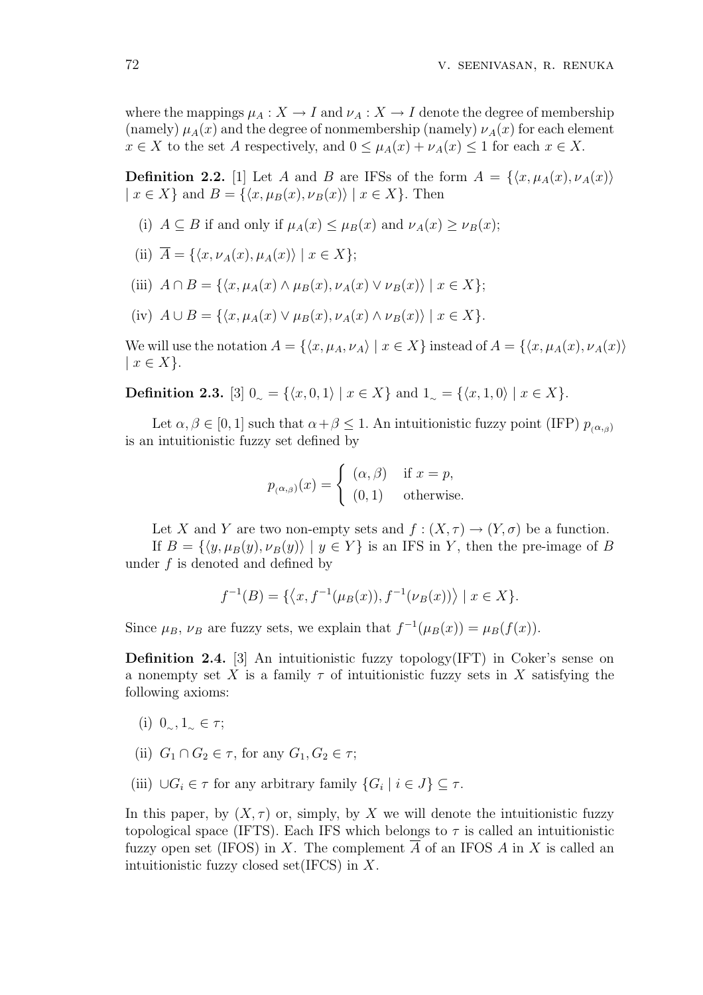where the mappings  $\mu_A : X \to I$  and  $\nu_A : X \to I$  denote the degree of membership (namely)  $\mu_A(x)$  and the degree of nonmembership (namely)  $\nu_A(x)$  for each element  $x \in X$  to the set A respectively, and  $0 \leq \mu_A(x) + \nu_A(x) \leq 1$  for each  $x \in X$ .

**Definition 2.2.** [1] Let A and B are IFSs of the form  $A = \{ \langle x, \mu_A(x), \nu_A(x) \rangle \}$  $|x \in X\}$  and  $B = \{\langle x, \mu_B(x), \nu_B(x)\rangle | x \in X\}.$  Then

- (i)  $A \subseteq B$  if and only if  $\mu_A(x) \leq \mu_B(x)$  and  $\nu_A(x) \geq \nu_B(x)$ ;
- (ii)  $\overline{A} = \{ \langle x, \nu_A(x), \mu_A(x) \rangle \mid x \in X \};$
- (iii)  $A \cap B = \{ \langle x, \mu_A(x) \wedge \mu_B(x), \nu_A(x) \vee \nu_B(x) \rangle \mid x \in X \}.$
- (iv)  $A \cup B = \{ \langle x, \mu_A(x) \vee \mu_B(x), \nu_A(x) \wedge \nu_B(x) \rangle \mid x \in X \}.$

We will use the notation  $A = \{ \langle x, \mu_A, \nu_A \rangle \mid x \in X \}$  instead of  $A = \{ \langle x, \mu_A(x), \nu_A(x) \rangle \}$  $|x \in X$ .

**Definition 2.3.** [3]  $0 \subseteq \{ \langle x, 0, 1 \rangle \mid x \in X \}$  and  $1 \subseteq \{ \langle x, 1, 0 \rangle \mid x \in X \}.$ 

Let  $\alpha, \beta \in [0, 1]$  such that  $\alpha + \beta \leq 1$ . An intuitionistic fuzzy point (IFP)  $p_{(\alpha, \beta)}$ is an intuitionistic fuzzy set defined by

$$
p_{(\alpha,\beta)}(x) = \begin{cases} (\alpha,\beta) & \text{if } x = p, \\ (0,1) & \text{otherwise.} \end{cases}
$$

Let X and Y are two non-empty sets and  $f:(X,\tau) \to (Y,\sigma)$  be a function.

If  $B = \{\langle y, \mu_B(y), \nu_B(y)\rangle | y \in Y\}$  is an IFS in Y, then the pre-image of B under  $f$  is denoted and defined by

$$
f^{-1}(B) = \{ \langle x, f^{-1}(\mu_B(x)), f^{-1}(\nu_B(x)) \rangle \mid x \in X \}.
$$

Since  $\mu_B$ ,  $\nu_B$  are fuzzy sets, we explain that  $f^{-1}(\mu_B(x)) = \mu_B(f(x))$ .

**Definition 2.4.** [3] An intuitionistic fuzzy topology(IFT) in Coker's sense on a nonempty set X is a family  $\tau$  of intuitionistic fuzzy sets in X satisfying the following axioms:

- (i)  $0_{\infty}, 1_{\infty} \in \tau$ ;
- (ii)  $G_1 \cap G_2 \in \tau$ , for any  $G_1, G_2 \in \tau$ ;
- (iii)  $\bigcup G_i \in \tau$  for any arbitrary family  $\{G_i \mid i \in J\} \subseteq \tau$ .

In this paper, by  $(X, \tau)$  or, simply, by X we will denote the intuitionistic fuzzy topological space (IFTS). Each IFS which belongs to  $\tau$  is called an intuitionistic fuzzy open set (IFOS) in X. The complement  $\overline{A}$  of an IFOS A in X is called an intuitionistic fuzzy closed set  $(IFCS)$  in X.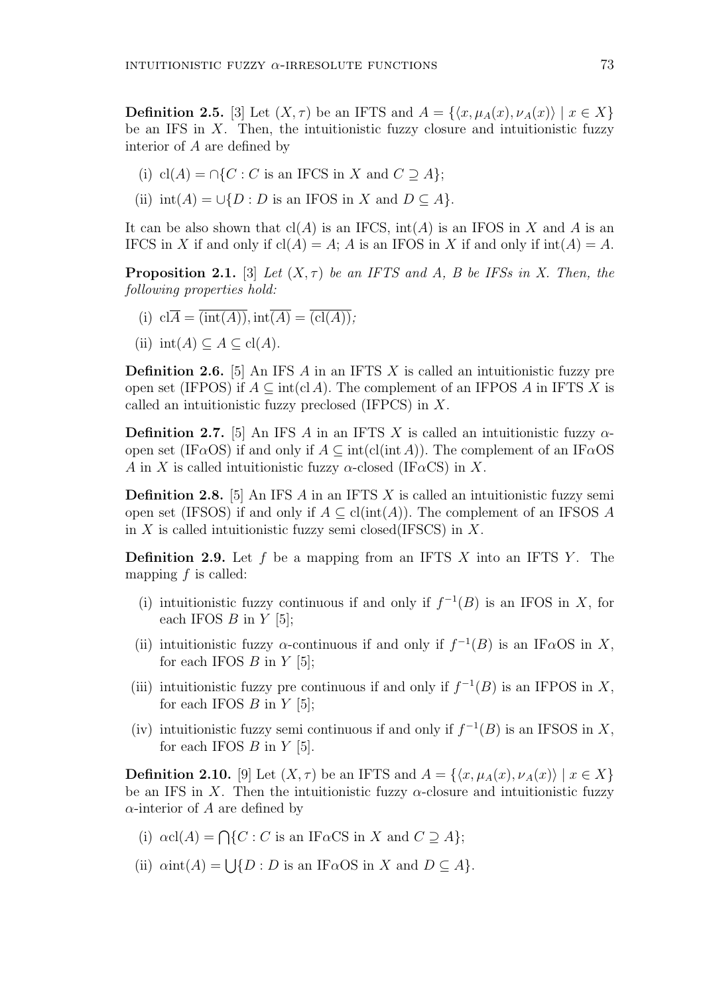**Definition 2.5.** [3] Let  $(X, \tau)$  be an IFTS and  $A = \{ \langle x, \mu_A(x), \nu_A(x) \rangle \mid x \in X \}$ be an IFS in  $X$ . Then, the intuitionistic fuzzy closure and intuitionistic fuzzy interior of A are defined by

- (i) cl(A) =  $\cap$ {C : C is an IFCS in X and C  $\supseteq$  A};
- (ii)  $int(A) = \bigcup \{D : D$  is an IFOS in X and  $D \subseteq A\}.$

It can be also shown that  $cl(A)$  is an IFCS,  $int(A)$  is an IFOS in X and A is an IFCS in X if and only if  $cl(A) = A$ ; A is an IFOS in X if and only if  $int(A) = A$ .

**Proposition 2.1.** [3] Let  $(X, \tau)$  be an IFTS and A, B be IFSs in X. Then, the following properties hold:

- (i)  $cl\overline{A} = \overline{(int(A))}, int\overline{(A)} = \overline{(cl(A))}$ ;
- (ii)  $int(A) \subseteq A \subseteq cl(A)$ .

**Definition 2.6.** [5] An IFS A in an IFTS X is called an intuitionistic fuzzy pre open set (IFPOS) if  $A \subseteq \text{int}(cl A)$ . The complement of an IFPOS A in IFTS X is called an intuitionistic fuzzy preclosed (IFPCS) in X.

**Definition 2.7.** [5] An IFS A in an IFTS X is called an intuitionistic fuzzy  $\alpha$ open set (IF $\alpha$ OS) if and only if  $A \subseteq \text{int}(\text{cl}(\text{int }A))$ . The complement of an IF $\alpha$ OS A in X is called intuitionistic fuzzy  $\alpha$ -closed (IF $\alpha$ CS) in X.

**Definition 2.8.** [5] An IFS  $\vec{A}$  in an IFTS  $\vec{X}$  is called an intuitionistic fuzzy semi open set (IFSOS) if and only if  $A \subseteq \text{cl(int}(A))$ . The complement of an IFSOS A in X is called intuitionistic fuzzy semi closed(IFSCS) in X.

**Definition 2.9.** Let f be a mapping from an IFTS X into an IFTS Y. The mapping  $f$  is called:

- (i) intuitionistic fuzzy continuous if and only if  $f^{-1}(B)$  is an IFOS in X, for each IFOS  $B$  in  $Y$  [5];
- (ii) intuitionistic fuzzy  $\alpha$ -continuous if and only if  $f^{-1}(B)$  is an IF $\alpha$ OS in X, for each IFOS  $B$  in  $Y$  [5];
- (iii) intuitionistic fuzzy pre continuous if and only if  $f^{-1}(B)$  is an IFPOS in X, for each IFOS  $B$  in  $Y$  [5];
- (iv) intuitionistic fuzzy semi continuous if and only if  $f^{-1}(B)$  is an IFSOS in X, for each IFOS  $B$  in  $Y$  [5].

**Definition 2.10.** [9] Let  $(X, \tau)$  be an IFTS and  $A = \{ \langle x, \mu_A(x), \nu_A(x) \rangle \mid x \in X \}$ be an IFS in X. Then the intuitionistic fuzzy  $\alpha$ -closure and intuitionistic fuzzy  $\alpha$ -interior of A are defined by

- (i)  $\alpha cl(A) = \bigcap \{C : C \text{ is an IF}\alpha CS \text{ in } X \text{ and } C \supseteq A\};$
- (ii)  $\alpha$ int $(A) = \bigcup \{ D : D$  is an IF $\alpha$ OS in X and  $D \subseteq A \}.$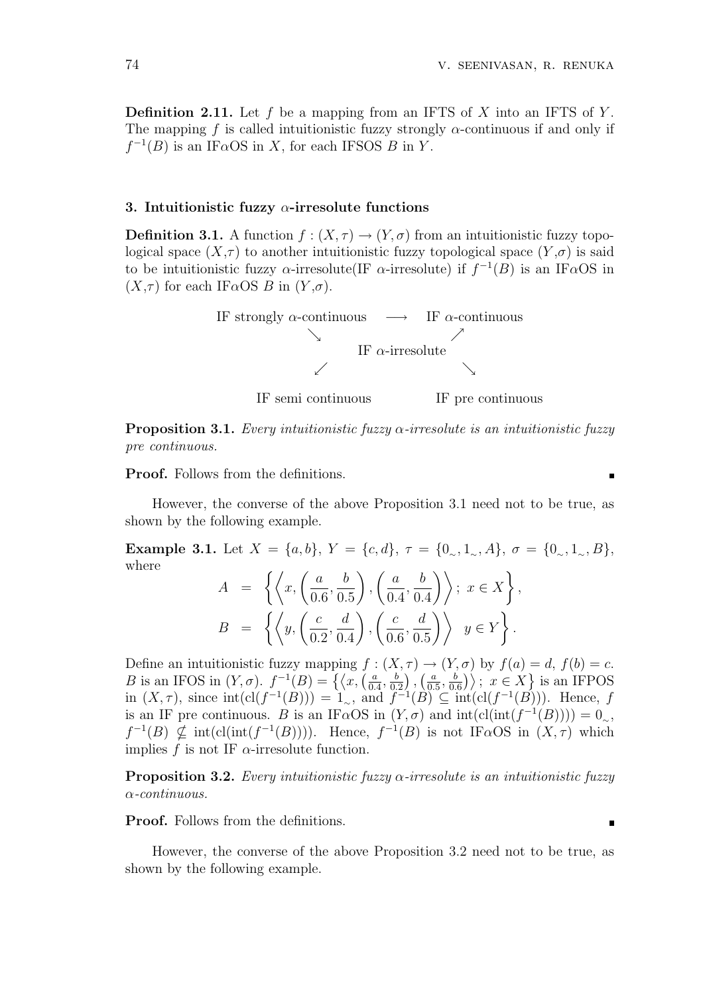**Definition 2.11.** Let f be a mapping from an IFTS of X into an IFTS of Y. The mapping f is called intuitionistic fuzzy strongly  $\alpha$ -continuous if and only if  $f^{-1}(B)$  is an IF $\alpha$ OS in X, for each IFSOS B in Y.

### 3. Intuitionistic fuzzy  $\alpha$ -irresolute functions

**Definition 3.1.** A function  $f : (X, \tau) \to (Y, \sigma)$  from an intuitionistic fuzzy topological space  $(X,\tau)$  to another intuitionistic fuzzy topological space  $(Y,\sigma)$  is said to be intuitionistic fuzzy  $\alpha$ -irresolute(IF  $\alpha$ -irresolute) if  $f^{-1}(B)$  is an IF $\alpha$ OS in  $(X,\tau)$  for each IF $\alpha$ OS B in  $(Y,\sigma)$ .



**Proposition 3.1.** Every intuitionistic fuzzy  $\alpha$ -irresolute is an intuitionistic fuzzy pre continuous.

Proof. Follows from the definitions.

However, the converse of the above Proposition 3.1 need not to be true, as shown by the following example.

Example 3.1. Let  $X = \{a, b\}$ ,  $Y = \{c, d\}$ ,  $\tau = \{0, 1, 1, 4\}$ ,  $\sigma = \{0, 1, 1, 8\}$ , where  $\sqrt{q}$  $\lambda$   $\lambda$ 

$$
A = \left\{ \left\langle x, \left( \frac{a}{0.6}, \frac{b}{0.5} \right), \left( \frac{a}{0.4}, \frac{b}{0.4} \right) \right\rangle; x \in X \right\},
$$
  

$$
B = \left\{ \left\langle y, \left( \frac{c}{0.2}, \frac{d}{0.4} \right), \left( \frac{c}{0.6}, \frac{d}{0.5} \right) \right\rangle \middle| y \in Y \right\}.
$$

Define an intuitionistic fuzzy mapping  $f : (X, \tau) \to (Y, \sigma)$  by  $f(a) = d, f(b) = c$ . Denne an intuitionistic ruzzy mapping f:<br>B is an IFOS in  $(Y, \sigma)$ .  $f^{-1}(B) = \{ \langle x, \left( \frac{a}{\sigma} \right) \rangle \}$  $\frac{a}{0.4}, \frac{b}{0.5}$ 0.2  $\begin{matrix} 7 \end{matrix}$ ,  $\overrightarrow{a}$  $\frac{a}{0.5}, \frac{b}{0.5}$  $\binom{b}{0.6}$  ;  $x \in X$  } is an IFPOS in  $(X, \tau)$ , since  $\text{int}(\text{cl}(f^{-1}(B))) = 1$ , and  $f^{-1}(B) \subseteq \text{int}(\text{cl}(f^{-1}(B)))$ . Hence, f is an IF pre continuous. B is an IF $\alpha$ OS in  $(Y, \sigma)$  and  $\text{int}(\text{cl}(\text{int}(f^{-1}(B)))) = 0_\sim$ ,  $f^{-1}(B) \nsubseteq \text{int}(\text{cl}(\text{int}(f^{-1}(B))))$ . Hence,  $f^{-1}(B)$  is not IF $\alpha$ OS in  $(X, \tau)$  which implies f is not IF  $\alpha$ -irresolute function.

**Proposition 3.2.** Every intuitionistic fuzzy  $\alpha$ -irresolute is an intuitionistic fuzzy α-continuous.

Proof. Follows from the definitions.

However, the converse of the above Proposition 3.2 need not to be true, as shown by the following example.

 $\blacksquare$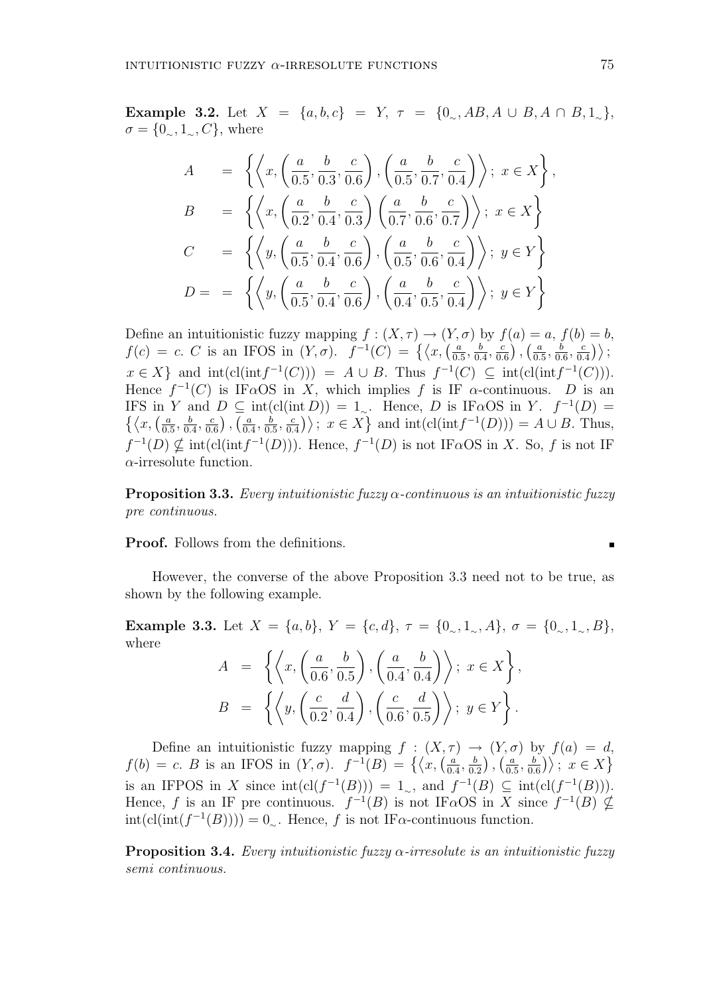Example 3.2. Let  $X = \{a, b, c\} = Y$ ,  $\tau = \{0, AB, A \cup B, A \cap B, 1\}$ ,  $\sigma = \{0, 1, 1, C\}$ , where

$$
A = \left\{ \left\langle x, \left( \frac{a}{0.5}, \frac{b}{0.3}, \frac{c}{0.6} \right), \left( \frac{a}{0.5}, \frac{b}{0.7}, \frac{c}{0.4} \right) \right\rangle; x \in X \right\},
$$
  
\n
$$
B = \left\{ \left\langle x, \left( \frac{a}{0.2}, \frac{b}{0.4}, \frac{c}{0.3} \right) \left( \frac{a}{0.7}, \frac{b}{0.6}, \frac{c}{0.7} \right) \right\rangle; x \in X \right\}
$$
  
\n
$$
C = \left\{ \left\langle y, \left( \frac{a}{0.5}, \frac{b}{0.4}, \frac{c}{0.6} \right), \left( \frac{a}{0.5}, \frac{b}{0.6}, \frac{c}{0.4} \right) \right\rangle; y \in Y \right\}
$$
  
\n
$$
D = \left\{ \left\langle y, \left( \frac{a}{0.5}, \frac{b}{0.4}, \frac{c}{0.6} \right), \left( \frac{a}{0.4}, \frac{b}{0.5}, \frac{c}{0.4} \right) \right\rangle; y \in Y \right\}
$$

Define an intuitionistic fuzzy mapping  $f : (X, \tau) \to (Y, \sigma)$  by  $f(a) = a, f(b) = b$ , Define an intuitionistic fuzzy mapping  $f: (\Lambda, \tau) \to (Y,$ <br>  $f(c) = c$ . C is an IFOS in  $(Y, \sigma)$ .  $f^{-1}(C) = \{ \langle x, \left( \frac{a}{\sigma} \right) \rangle \}$  $\frac{a}{0.5}, \frac{b}{0.5}$  $\frac{b}{0.4}, \frac{c}{0.4}$  $\frac{c}{0.6}$ ),  $\left(\frac{a}{0.5}\right)$  $\frac{a}{0.5}, \frac{b}{0.5}$  $\frac{b}{0.6}, \frac{c}{0.}$  $\left\langle \begin{array}{c} 0 \ \frac{c}{0.4} \end{array} \right\rangle$  $x \in X$  and  $\text{int}(\text{cl}(\text{int}f^{-1}(C))) = A \cup B$ . Thus  $f^{-1}(C) \subseteq \text{int}(\text{cl}(\text{int}f^{-1}(C))).$ Hence  $f^{-1}(C)$  is IF $\alpha$ OS in X, which implies f is IF  $\alpha$ -continuous. D is an IFS in Y and  $D \subseteq \text{int}(\text{cl}(\text{int }D)) = 1$ . Hence, D is IF $\alpha$ OS in Y.  $f^{-1}(D) =$ IFS in<br> $\{\langle x, \langle \frac{a}{\alpha} \rangle\}\$  $\frac{a}{0.5}, \frac{b}{0.5}$  $\frac{b}{0.4}, \frac{c}{0.4}$  $\frac{c}{0.6}$ ),  $\left(\frac{a}{0.4}\right)$  $\frac{a}{0.4}, \frac{b}{0.}$  $\frac{b}{0.5}, \frac{c}{0.5}$  $\langle \text{int } D \rangle$  =  $1_{\sim}$ . Hence, *D* is If  $\alpha$ OS in *Y*.  $J^{-1}(D)$  =  $\frac{c}{0.4}$ );  $x \in X$  and  $\text{int}(\text{cl}(\text{int}f^{-1}(D))) = A \cup B$ . Thus,  $f^{-1}(D) \nsubseteq \text{int}(\text{cl}(\text{int}f^{-1}(D)))$ . Hence,  $f^{-1}(D)$  is not IF $\alpha$ OS in X. So, f is not IF  $\alpha$ -irresolute function.

**Proposition 3.3.** Every intuitionistic fuzzy  $\alpha$ -continuous is an intuitionistic fuzzy pre continuous.

Proof. Follows from the definitions.

However, the converse of the above Proposition 3.3 need not to be true, as shown by the following example.

Example 3.3. Let  $X = \{a, b\}$ ,  $Y = \{c, d\}$ ,  $\tau = \{0, 1, 0, 0, d\}$ ,  $\sigma = \{0, 1, 0, d\}$ , where ½¿ $\mathbf{r}$  $\overline{a}$  $\sqrt{ }$  $\mathbf{A}$ 

$$
A = \left\{ \left\langle x, \left( \frac{a}{0.6}, \frac{b}{0.5} \right), \left( \frac{a}{0.4}, \frac{b}{0.4} \right) \right\rangle; x \in X \right\},
$$
  

$$
B = \left\{ \left\langle y, \left( \frac{c}{0.2}, \frac{d}{0.4} \right), \left( \frac{c}{0.6}, \frac{d}{0.5} \right) \right\rangle; y \in Y \right\}.
$$

Define an intuitionistic fuzzy mapping  $f : (X, \tau) \to (Y, \sigma)$  by  $f(a) = d$ , Denne an intuitionistic ruzzy mapping  $f: (\Lambda, \tau)$ <br>  $f(b) = c$ . B is an IFOS in  $(Y, \sigma)$ .  $f^{-1}(B) = \{ \langle x, \left( \frac{a}{b} \right) \rangle \}$  $\frac{a}{0.4}, \frac{b}{0.5}$  $\frac{b}{0.2}\big)$  ,  $\big(\frac{a}{0.5}\big)$  $\frac{a}{0.5}, \frac{b}{0.5}$  $\begin{array}{c} \text{by } J(a) = 0 \\ \frac{b}{0.6} \end{array}$ ;  $x \in X$ is an IFPOS in X since  $\text{int}(\text{cl}(f^{-1}(B))) = 1_\sim$ , and  $f^{-1}(B) \subseteq \text{int}(\text{cl}(f^{-1}(B))).$ Hence, f is an IF pre continuous.  $f^{-1}(B)$  is not IF $\alpha$ OS in X since  $f^{-1}(B) \nsubseteq$  $\text{int}(\text{cl}(\text{int}(f^{-1}(B)))) = 0_{\sim}$ . Hence, f is not IF $\alpha$ -continuous function.

**Proposition 3.4.** Every intuitionistic fuzzy  $\alpha$ -irresolute is an intuitionistic fuzzy semi continuous.

 $\blacksquare$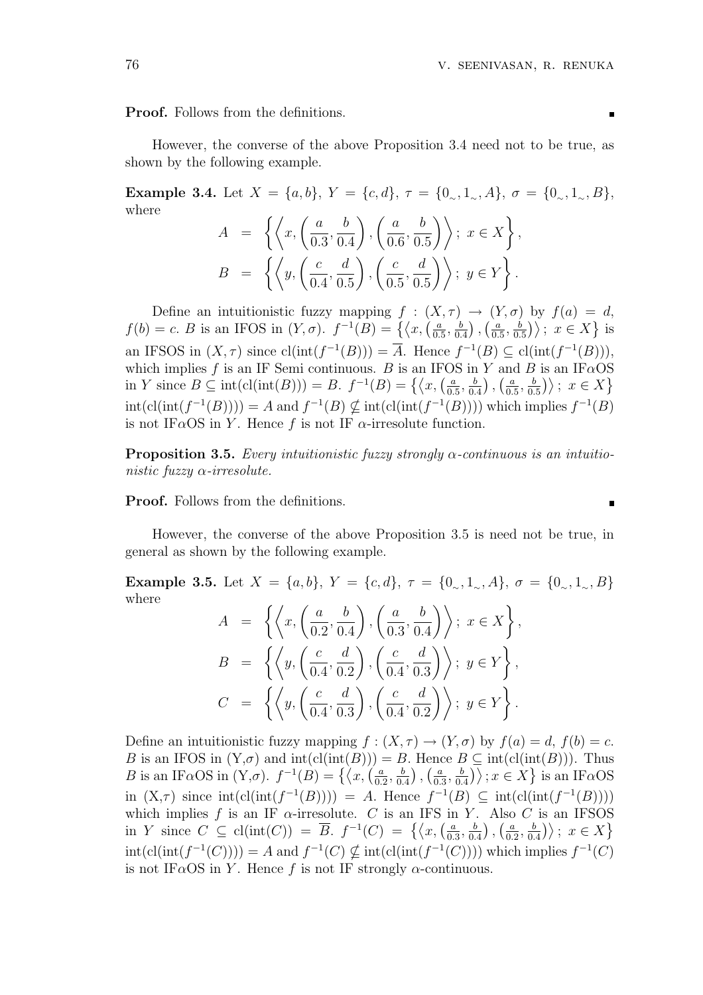Proof. Follows from the definitions.

However, the converse of the above Proposition 3.4 need not to be true, as shown by the following example.

Example 3.4. Let  $X = \{a, b\}$ ,  $Y = \{c, d\}$ ,  $\tau = \{0, 1, 4\}$ ,  $\sigma = \{0, 1, 8\}$ , where  $\sqrt{q}$  $\sqrt{ }$  $\mathbf{A}$ 

$$
A = \left\{ \left\langle x, \left( \frac{a}{0.3}, \frac{b}{0.4} \right), \left( \frac{a}{0.6}, \frac{b}{0.5} \right) \right\rangle; x \in X \right\},
$$
  

$$
B = \left\{ \left\langle y, \left( \frac{c}{0.4}, \frac{d}{0.5} \right), \left( \frac{c}{0.5}, \frac{d}{0.5} \right) \right\rangle; y \in Y \right\}.
$$

Define an intuitionistic fuzzy mapping  $f : (X, \tau) \to (Y, \sigma)$  by  $f(a) = d$ , Denne an intuitionistic ruzzy mapping  $f: (\Lambda)$ <br>  $f(b) = c$ . B is an IFOS in  $(Y, \sigma)$ .  $f^{-1}(B) = \{ \langle x, \left( \frac{a}{\sigma} \right) \rangle \}$  $\frac{a}{0.5}, \frac{b}{0.5}$ 0.4  $\overline{\phantom{a}}$ ,  $\binom{1}{a}$  $\frac{a}{0.5}, \frac{b}{0.}$  $\begin{array}{c} \text{by } J(a) = \\ \frac{b}{0.5} \text{)} \text{; } x \in X \} \end{array}$ is an IFSOS in  $(X, \tau)$  since  $cl(int(f^{-1}(B))) = \overline{A}$ . Hence  $f^{-1}(B) \subseteq cl(int(f^{-1}(B)))$ , which implies f is an IF Semi continuous. B is an IFOS in Y and B is an IF $\alpha$ OS which implies f is an IF semi-continuous. B is an IFO<br>in Y since  $B \subseteq \text{int}(\text{cl}(\text{int}(B))) = B$ .  $f^{-1}(B) = \{ \langle x, \langle \frac{a}{\alpha} \rangle \rangle \}$  $\frac{a}{0.5}, \frac{b}{0.5}$  $\frac{b}{0.4}$ ),  $\left(\frac{a}{0.1}\right)$  $\frac{a}{0.5}, \frac{b}{0.}$  $\left(\frac{b}{0.5}\right)$  ;  $x \in X$  $\text{int}(\text{cl}(\text{int}(f^{-1}(B)))) = A$  and  $f^{-1}(B) \nsubseteq \text{int}(\text{cl}(\text{int}(f^{-1}(B))))$  which implies  $f^{-1}(B)$ is not IF $\alpha$ OS in Y. Hence f is not IF  $\alpha$ -irresolute function.

**Proposition 3.5.** Every intuitionistic fuzzy strongly  $\alpha$ -continuous is an intuitionistic fuzzy  $\alpha$ -irresolute.

Proof. Follows from the definitions.

However, the converse of the above Proposition 3.5 is need not be true, in general as shown by the following example.

Example 3.5. Let  $X = \{a, b\}$ ,  $Y = \{c, d\}$ ,  $\tau = \{0, 1, 0, 0, d\}$ ,  $\sigma = \{0, 1, 0, 0, d\}$ where  $\sqrt{q}$  $\sqrt{ }$  $\mathbf{A}$ 

$$
A = \left\{ \left\langle x, \left( \frac{a}{0.2}, \frac{b}{0.4} \right), \left( \frac{a}{0.3}, \frac{b}{0.4} \right) \right\rangle; x \in X \right\},
$$
  

$$
B = \left\{ \left\langle y, \left( \frac{c}{0.4}, \frac{d}{0.2} \right), \left( \frac{c}{0.4}, \frac{d}{0.3} \right) \right\rangle; y \in Y \right\},
$$
  

$$
C = \left\{ \left\langle y, \left( \frac{c}{0.4}, \frac{d}{0.3} \right), \left( \frac{c}{0.4}, \frac{d}{0.2} \right) \right\rangle; y \in Y \right\}.
$$

Define an intuitionistic fuzzy mapping  $f : (X, \tau) \to (Y, \sigma)$  by  $f(a) = d, f(b) = c$ . B is an IFOS in  $(Y, \sigma)$  and  $\text{int}(\text{cl}(\text{int}(B))) = B$ . Hence  $B \subseteq \text{int}(\text{cl}(\text{int}(B)))$ . Thus B is an IF $\alpha$ OS in  $(Y,\sigma)$  and mt(cl(mt(B))) =<br>B is an IF $\alpha$ OS in  $(Y,\sigma)$ .  $f^{-1}(B) = \{ \langle x, \langle \frac{\alpha}{\alpha}, \rangle \rangle \}$  $\frac{a}{0.2}, \frac{b}{0.}$ 0.4 ¢ , end<br>6 a  $\frac{a}{0.3}, \frac{b}{0.}$  $\frac{b}{\left(0.4\right)} \rightarrow \text{int}$   $\text{cm}$   $\left(\text{cm}\right)$ <br> $\left(\text{cm}\right)$ is an IF $\alpha$ OS in  $(X,\tau)$  since  $\text{int}(\text{cl}(\text{int}(f^{-1}(B)))) = A$ . Hence  $f^{-1}(B) \subseteq \text{int}(\text{cl}(\text{int}(f^{-1}(B))))$ which implies f is an IF  $\alpha$ -irresolute. C is an IFS in Y. Also C is an IFSOS which implies f is an if  $\alpha$ -irresolute. C is an if 5 in<br>in Y since  $C \subseteq cl(int(C)) = \overline{B}$ .  $f^{-1}(C) = \{ \langle x, \left( \frac{a}{C} \right) \rangle \}$  $\frac{a}{0.3}, \frac{b}{0.}$  $\frac{b}{0.4}$ ),  $\left(\frac{a}{0.2}\right)$  $\frac{a}{0.2}, \frac{b}{0.}$  $\left\langle \frac{b}{0.4} \right\rangle$  ;  $x \in X$  $\text{int}(\text{cl}(\text{int}(f^{-1}(C)))) = A$  and  $f^{-1}(C) \nsubseteq \text{int}(\text{cl}(\text{int}(f^{-1}(C))))$  which implies  $f^{-1}(C)$ is not IF $\alpha$ OS in Y. Hence f is not IF strongly  $\alpha$ -continuous.

 $\blacksquare$ 

 $\blacksquare$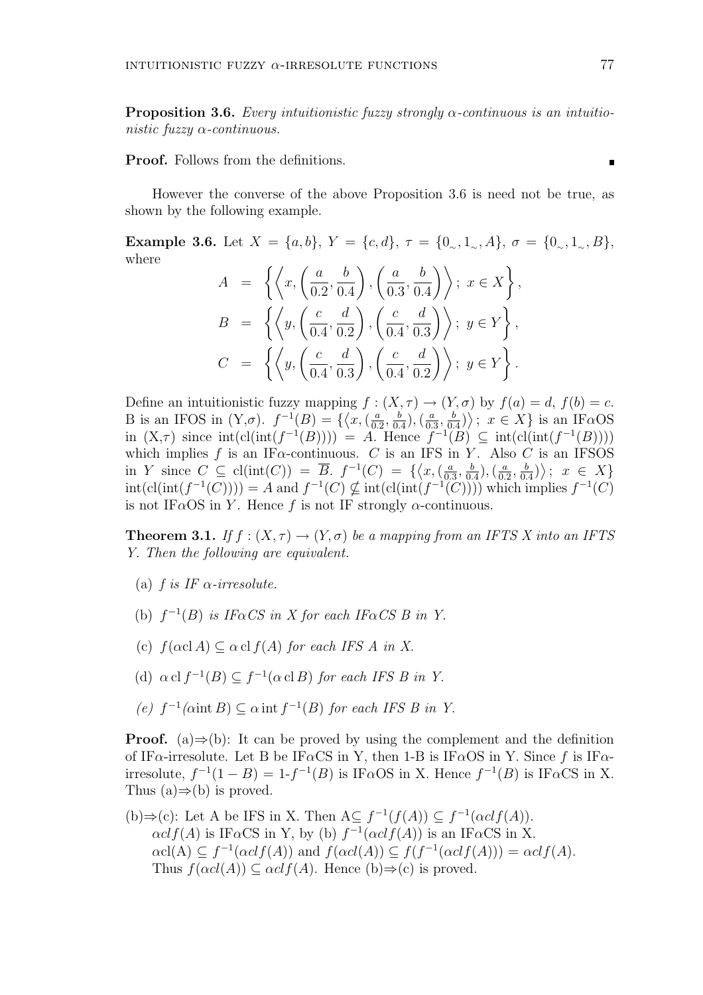**Proposition 3.6.** Every intuitionistic fuzzy strongly  $\alpha$ -continuous is an intuitionistic fuzzy  $\alpha$ -continuous.

Proof. Follows from the definitions.

However the converse of the above Proposition 3.6 is need not be true, as shown by the following example.

Example 3.6. Let  $X = \{a, b\}$ ,  $Y = \{c, d\}$ ,  $\tau = \{0, 1, 1, 4\}$ ,  $\sigma = \{0, 1, 1, 8\}$ , where  $\sqrt{q}$  $\sqrt{ }$  $\mathbf{A}$ 

$$
A = \left\{ \left\langle x, \left( \frac{a}{0.2}, \frac{b}{0.4} \right), \left( \frac{a}{0.3}, \frac{b}{0.4} \right) \right\rangle; x \in X \right\}, B = \left\{ \left\langle y, \left( \frac{c}{0.4}, \frac{d}{0.2} \right), \left( \frac{c}{0.4}, \frac{d}{0.3} \right) \right\rangle; y \in Y \right\}, C = \left\{ \left\langle y, \left( \frac{c}{0.4}, \frac{d}{0.3} \right), \left( \frac{c}{0.4}, \frac{d}{0.2} \right) \right\rangle; y \in Y \right\}.
$$

Define an intuitionistic fuzzy mapping  $f : (X, \tau) \to (Y, \sigma)$  by  $f(a) = d, f(b) = c$ . B is an IFOS in  $(Y, \sigma)$ .  $f^{-1}(B) = \{$  $\prod_{\ell}$  $x, (\frac{a}{a})$  $\frac{a}{0.2}, \frac{b}{0.}$  $(\frac{b}{0.4}),(\frac{a}{0.3})$  $\frac{a}{0.3}, \frac{b}{0.}$  $\frac{b}{0.4}$ ")<br>י ;  $x \in X$  is an IF $\alpha$ OS in  $(X,\tau)$  since  $\text{int}(\text{cl}(\text{int}(f^{-1}(B)))) = A$ . Hence  $f^{-1}(B) \subseteq \text{int}(\text{cl}(\text{int}(f^{-1}(B))))$ which implies f is an IF $\alpha$ -continuous. C is an IFS in Y. Also C is an IFSOS in Y since  $C \subseteq \text{cl}(\text{int}(C)) = \overline{B}$ .  $f^{-1}(C) = \{ \langle x, (\frac{a}{C}) \rangle \}$  $\frac{a}{0.3}, \frac{b}{0.}$  $(\frac{b}{0.4}),(\frac{a}{0.4})$  $\frac{a}{0.2}, \frac{b}{0.}$  $\left\{\frac{b}{0.4}\right\}$ ;  $x \in X$  $\text{int}(\text{cl}(\text{int}(f^{-1}(C)))) = A$  and  $f^{-1}(C) \nsubseteq \text{int}(\text{cl}(\text{int}(f^{-1}(C))))$  which implies  $f^{-1}(C)$ is not IF $\alpha$ OS in Y. Hence f is not IF strongly  $\alpha$ -continuous.

**Theorem 3.1.** If  $f : (X, \tau) \to (Y, \sigma)$  be a mapping from an IFTS X into an IFTS Y. Then the following are equivalent.

- (a) f is IF  $\alpha$ -irresolute.
- (b)  $f^{-1}(B)$  is IF $\alpha CS$  in X for each IF $\alpha CS$  B in Y.
- (c)  $f(\alpha c) \leq \alpha c \leq f(A)$  for each IFS A in X.
- (d)  $\alpha$  cl  $f^{-1}(B) \subseteq f^{-1}(\alpha$  cl B) for each IFS B in Y.
- (e)  $f^{-1}(\text{aint } B) \subseteq \alpha$  int  $f^{-1}(B)$  for each IFS B in Y.

**Proof.** (a) $\Rightarrow$ (b): It can be proved by using the complement and the definition of IF $\alpha$ -irresolute. Let B be IF $\alpha$ CS in Y, then 1-B is IF $\alpha$ OS in Y. Since f is IF $\alpha$ irresolute,  $f^{-1}(1 - B) = 1 - f^{-1}(B)$  is IF $\alpha$ OS in X. Hence  $f^{-1}(B)$  is IF $\alpha$ CS in X. Thus  $(a) \Rightarrow (b)$  is proved.

(b) 
$$
\Rightarrow
$$
(c): Let A be IFS in X. Then  $A \subseteq f^{-1}(f(A)) \subseteq f^{-1}(\alpha cl f(A))$ .  
\n $\alpha cl f(A)$  is IF $\alpha$ CS in Y, by (b)  $f^{-1}(\alpha cl f(A))$  is an IF $\alpha$ CS in X.  
\n $\alpha cl(A) \subseteq f^{-1}(\alpha cl f(A))$  and  $f(\alpha cl(A)) \subseteq f(f^{-1}(\alpha cl f(A))) = \alpha cl f(A)$ .  
\nThus  $f(\alpha cl(A)) \subseteq \alpha cl f(A)$ . Hence (b)  $\Rightarrow$ (c) is proved.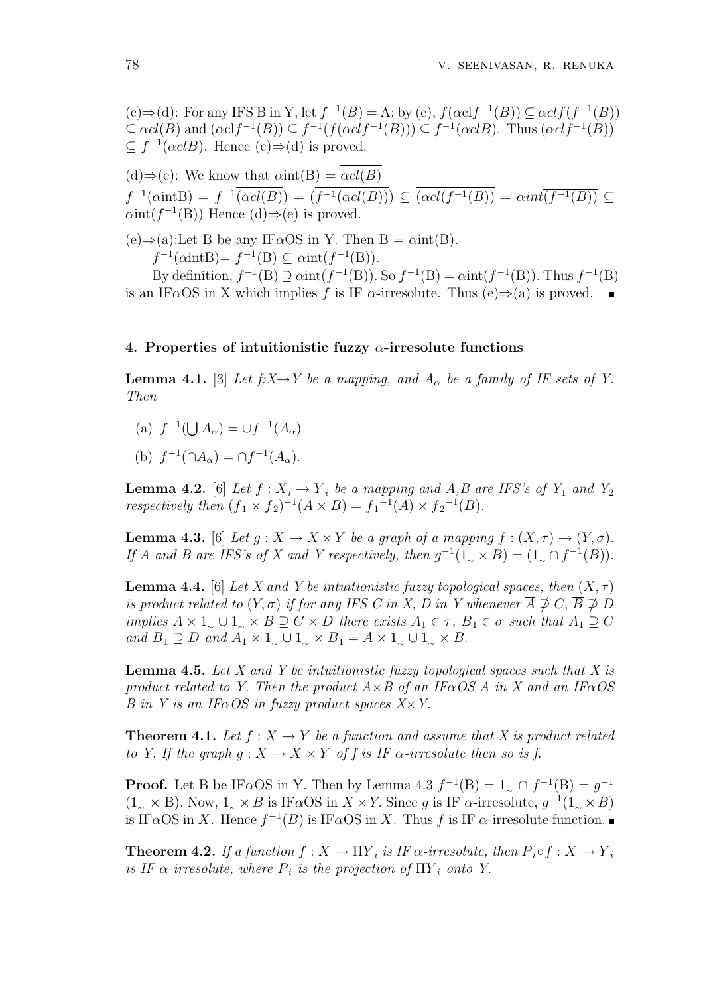(c)  $\Rightarrow$  (d): For any IFS B in Y, let  $f^{-1}(B) = A$ ; by (c),  $f(\alpha cl f^{-1}(B)) \subseteq \alpha cl f(f^{-1}(B))$  $\subseteq \alpha cl(B)$  and  $(\alpha cl f^{-1}(B)) \subseteq f^{-1}(f(\alpha cl f^{-1}(B))) \subseteq f^{-1}(\alpha cl B)$ . Thus  $(\alpha cl f^{-1}(B))$  $\subseteq f^{-1}(\alpha c lB)$ . Hence  $(c) \Rightarrow (d)$  is proved.

(d)⇒(e): We know that  $\alpha$ int(B) =  $\alpha cl(\overline{B})$  $f^{-1}(\alpha int B) = f^{-1}(\alpha cl(\overline{B})) = (f^{-1}(\alpha cl(\overline{B}))) \subseteq (\alpha cl(f^{-1}(\overline{B})) = \alpha int(\overline{f^{-1}(B)}) \subseteq$  $\alpha$ int $(f^{-1}(B))$  Hence  $(d) \Rightarrow$  (e) is proved.

 $(e) \Rightarrow (a)$ :Let B be any IF $\alpha$ OS in Y. Then B =  $\alpha$ int(B).  $f^{-1}(\alpha int B) = f^{-1}(B) \subseteq \alpha int(f^{-1}(B)).$ 

By definition,  $f^{-1}(B) \supseteq \alpha$ int $(f^{-1}(B))$ . So  $f^{-1}(B) = \alpha$ int $(f^{-1}(B))$ . Thus  $f^{-1}(B)$ is an IF $\alpha$ OS in X which implies f is IF  $\alpha$ -irresolute. Thus (e) $\Rightarrow$ (a) is proved.  $\blacksquare$ 

#### 4. Properties of intuitionistic fuzzy  $\alpha$ -irresolute functions

**Lemma 4.1.** [3] Let  $f: X \to Y$  be a mapping, and  $A_{\alpha}$  be a family of IF sets of Y. Then

- $(a) f^{-1}($ S  $A_{\alpha}$ ) =  $\cup f^{-1}(A_{\alpha})$
- (b)  $f^{-1}(\cap A_{\alpha}) = \cap f^{-1}(A_{\alpha}).$

**Lemma 4.2.** [6] Let  $f: X_i \to Y_i$  be a mapping and A,B are IFS's of  $Y_1$  and  $Y_2$ respectively then  $(f_1 \times f_2)^{-1}(A \times B) = f_1^{-1}(A) \times f_2^{-1}(B)$ .

**Lemma 4.3.** [6] Let  $q: X \to X \times Y$  be a graph of a mapping  $f: (X, \tau) \to (Y, \sigma)$ . If A and B are IFS's of X and Y respectively, then  $g^{-1}(1 \times B) = (1 \times f^{-1}(B)).$ 

**Lemma 4.4.** [6] Let X and Y be intuitionistic fuzzy topological spaces, then  $(X, \tau)$ is product related to  $(Y, \sigma)$  if for any IFS C in X, D in Y whenever  $\overline{A} \not\supseteq C$ ,  $\overline{B} \not\supseteq D$ implies  $\overline{A} \times 1_{\sim} \cup 1_{\sim} \times \overline{B} \supseteq C \times D$  there exists  $A_1 \in \tau$ ,  $B_1 \in \sigma$  such that  $\overline{A_1} \supseteq C$ and  $\overline{B_1} \supseteq D$  and  $\overline{A_1} \times 1_{\sim} \cup 1_{\sim} \times \overline{B_1} = \overline{A} \times 1_{\sim} \cup 1_{\sim} \times \overline{B}$ .

**Lemma 4.5.** Let X and Y be intuitionistic fuzzy topological spaces such that X is product related to Y. Then the product  $A \times B$  of an IF $\alpha$ OS A in X and an IF $\alpha$ OS B in Y is an IF $\alpha$ OS in fuzzy product spaces  $X \times Y$ .

**Theorem 4.1.** Let  $f : X \to Y$  be a function and assume that X is product related to Y. If the graph  $q: X \to X \times Y$  of f is IF  $\alpha$ -irresolute then so is f.

**Proof.** Let B be IF $\alpha$ OS in Y. Then by Lemma 4.3  $f^{-1}(B) = 1 \circ f^{-1}(B) = g^{-1}$  $(1_{\sim} \times B)$ . Now,  $1_{\sim} \times B$  is IF $\alpha$ OS in  $X \times Y$ . Since g is IF  $\alpha$ -irresolute,  $g^{-1}(1_{\sim} \times B)$ is IF $\alpha$ OS in X. Hence  $f^{-1}(B)$  is IF $\alpha$ OS in X. Thus f is IF  $\alpha$ -irresolute function.

**Theorem 4.2.** If a function  $f: X \to \Pi Y_i$  is IF  $\alpha$ -irresolute, then  $P_i \circ f: X \to Y_i$ is IF  $\alpha$ -irresolute, where  $P_i$  is the projection of  $\Pi Y_i$  onto Y.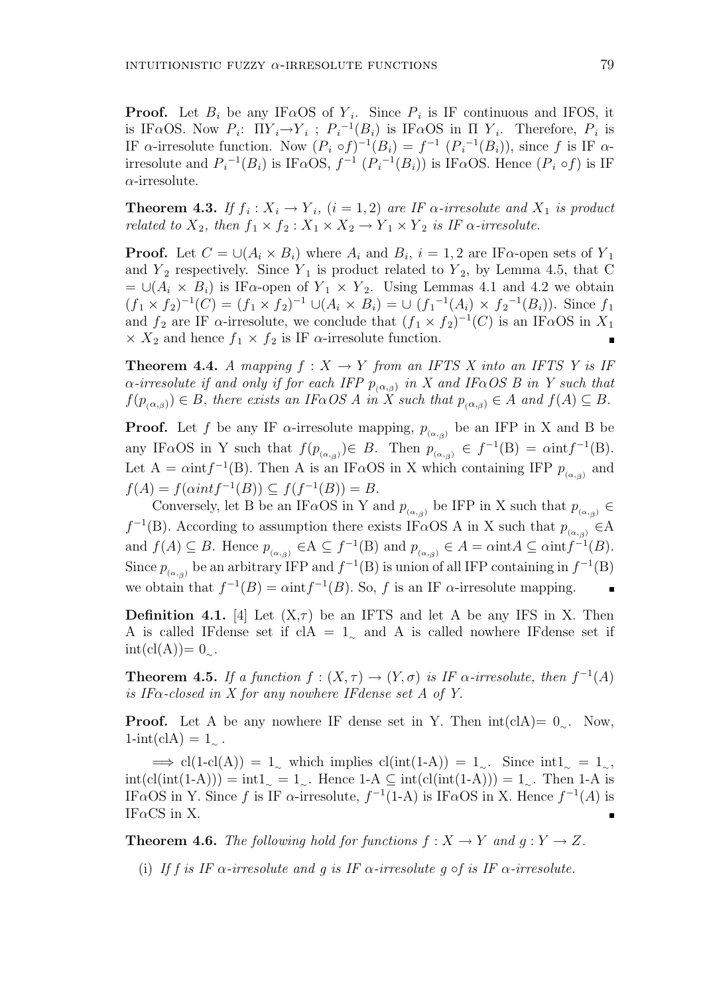**Proof.** Let  $B_i$  be any IF $\alpha$ OS of  $Y_i$ . Since  $P_i$  is IF continuous and IFOS, it is IF $\alpha$ OS. Now  $P_i$ :  $\Pi Y_i \rightarrow Y_i$ ;  $P_i^{-1}(B_i)$  is IF $\alpha$ OS in  $\Pi Y_i$ . Therefore,  $P_i$  is IF  $\alpha$ -irresolute function. Now  $(P_i \circ f)^{-1}(B_i) = f^{-1}(P_i^{-1}(B_i))$ , since f is IF  $\alpha$ irresolute and  $P_i^{-1}(B_i)$  is IF $\alpha$ OS,  $f^{-1}(P_i^{-1}(B_i))$  is IF $\alpha$ OS. Hence  $(P_i \circ f)$  is IF  $\alpha$ -irresolute.

**Theorem 4.3.** If  $f_i: X_i \to Y_i$ ,  $(i = 1, 2)$  are IF  $\alpha$ -irresolute and  $X_i$  is product related to  $X_2$ , then  $f_1 \times f_2 : X_1 \times X_2 \to Y_1 \times Y_2$  is IF  $\alpha$ -irresolute.

**Proof.** Let  $C = \bigcup (A_i \times B_i)$  where  $A_i$  and  $B_i$ ,  $i = 1, 2$  are IF $\alpha$ -open sets of  $Y_1$ and  $Y_2$  respectively. Since  $Y_1$  is product related to  $Y_2$ , by Lemma 4.5, that C  $= \bigcup (A_i \times B_i)$  is IF $\alpha$ -open of  $Y_1 \times Y_2$ . Using Lemmas 4.1 and 4.2 we obtain  $(f_1 \times f_2)^{-1}(C) = (f_1 \times f_2)^{-1} \cup (A_i \times B_i) = \cup (f_1^{-1}(A_i) \times f_2^{-1}(B_i)).$  Since  $f_1$ and  $f_2$  are IF  $\alpha$ -irresolute, we conclude that  $(f_1 \times f_2)^{-1}(C)$  is an IF $\alpha$ OS in  $X_1$  $\times X_2$  and hence  $f_1 \times f_2$  is IF  $\alpha$ -irresolute function.

**Theorem 4.4.** A mapping  $f : X \to Y$  from an IFTS X into an IFTS Y is IF  $\alpha$ -irresolute if and only if for each IFP  $p_{(\alpha,\beta)}$  in X and IF $\alpha$ OS B in Y such that  $f(p_{(\alpha,\beta)}) \in B$ , there exists an IF $\alpha$ OS A in X such that  $p_{(\alpha,\beta)} \in A$  and  $f(A) \subseteq B$ .

**Proof.** Let f be any IF  $\alpha$ -irresolute mapping,  $p_{(\alpha,\beta)}$  be an IFP in X and B be any IF $\alpha$ OS in Y such that  $f(p_{(\alpha,\beta)}) \in B$ . Then  $p_{(\alpha,\beta)} \in f^{-1}(B) = \alpha \text{int} f^{-1}(B)$ . Let A =  $\alpha$ int $f^{-1}(B)$ . Then A is an IF $\alpha$ OS in X which containing IFP  $p_{(\alpha,\beta)}$  and  $f(A) = f(\alpha int f^{-1}(B)) \subseteq f(f^{-1}(B)) = B.$ 

Conversely, let B be an IF $\alpha$ OS in Y and  $p_{(\alpha,\beta)}$  be IFP in X such that  $p_{(\alpha,\beta)} \in$  $f^{-1}(B)$ . According to assumption there exists IF $\alpha$ OS A in X such that  $p_{(\alpha,\beta)}$   $\in$ A and  $f(A) \subseteq B$ . Hence  $p_{(\alpha,\beta)} \in A \subseteq f^{-1}(B)$  and  $p_{(\alpha,\beta)} \in A = \alpha \text{int} A \subseteq \alpha \text{int} f^{-1}(B)$ . Since  $p_{(\alpha,\beta)}$  be an arbitrary IFP and  $f^{-1}(B)$  is union of all IFP containing in  $f^{-1}(B)$ we obtain that  $f^{-1}(B) = \alpha \text{int} f^{-1}(B)$ . So, f is an IF  $\alpha$ -irresolute mapping.

**Definition 4.1.** [4] Let  $(X,\tau)$  be an IFTS and let A be any IFS in X. Then A is called IFdense set if clA =  $1<sub>∼</sub>$  and A is called nowhere IFdense set if  $int(cl(A))= 0_{\sim}.$ 

**Theorem 4.5.** If a function  $f : (X, \tau) \to (Y, \sigma)$  is IF  $\alpha$ -irresolute, then  $f^{-1}(A)$ is IF $\alpha$ -closed in X for any nowhere IFdense set A of Y.

**Proof.** Let A be any nowhere IF dense set in Y. Then  $int(cA)=0$ . Now,  $1\text{-int}(\text{cIA}) = 1_{\sim}$ .

 $\Rightarrow$  cl(1-cl(A)) = 1∼ which implies cl(int(1-A)) = 1∼. Since int1<sup>∼</sup> = 1<sup>∼</sup>,  $int(cl(int(1-A))) = int1_\sim = 1_\sim$ . Hence 1-A ⊆  $int(cl(int(1-A))) = 1_\sim$ . Then 1-A is IF $\alpha$ OS in Y. Since f is IF  $\alpha$ -irresolute,  $f^{-1}(1-A)$  is IF $\alpha$ OS in X. Hence  $f^{-1}(A)$  is IF $\alpha$ CS in X.

**Theorem 4.6.** The following hold for functions  $f: X \to Y$  and  $q: Y \to Z$ .

(i) If f is IF  $\alpha$ -irresolute and g is IF  $\alpha$ -irresolute g  $\circ$ f is IF  $\alpha$ -irresolute.